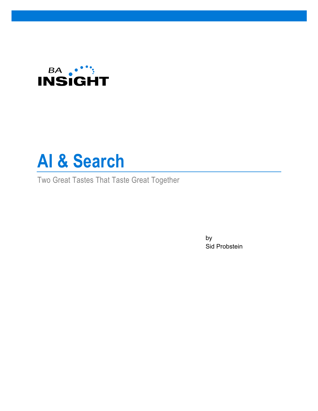



Two Great Tastes That Taste Great Together

by Sid Probstein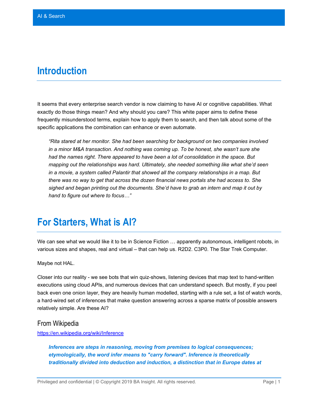#### **Introduction**

It seems that every enterprise search vendor is now claiming to have AI or cognitive capabilities. What exactly do those things mean? And why should you care? This white paper aims to define these frequently misunderstood terms, explain how to apply them to search, and then talk about some of the specific applications the combination can enhance or even automate.

*"Rita stared at her monitor. She had been searching for background on two companies involved in a minor M&A transaction. And nothing was coming up. To be honest, she wasn't sure she had the names right. There appeared to have been a lot of consolidation in the space. But mapping out the relationships was hard. Ultimately, she needed something like what she'd seen in a movie, a system called Palantir that showed all the company relationships in a map. But there was no way to get that across the dozen financial news portals she had access to. She sighed and began printing out the documents. She'd have to grab an intern and map it out by hand to figure out where to focus…"*

#### **For Starters, What is AI?**

We can see what we would like it to be in Science Fiction … apparently autonomous, intelligent robots, in various sizes and shapes, real and virtual – that can help us. R2D2. C3P0. The Star Trek Computer.

Maybe not HAL.

Closer into our reality - we see bots that win quiz-shows, listening devices that map text to hand-written executions using cloud APIs, and numerous devices that can understand speech. But mostly, if you peel back even one onion layer, they are heavily human modelled, starting with a rule set, a list of watch words, a hard-wired set of inferences that make question answering across a sparse matrix of possible answers relatively simple. Are these AI?

#### From Wikipedia

<https://en.wikipedia.org/wiki/Inference>

*Inferences are steps in reasoning, moving from premises to logical consequences; etymologically, the word infer means to "carry forward". Inference is theoretically traditionally divided into deduction and induction, a distinction that in Europe dates at*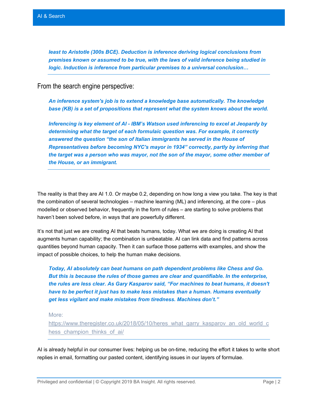*least to Aristotle (300s BCE). Deduction is inference deriving logical conclusions from premises known or assumed to be true, with the laws of valid inference being studied in logic. Induction is inference from particular premises to a universal conclusion…*

From the search engine perspective:

*An inference system's job is to extend a knowledge base automatically. The knowledge base (KB) is a set of propositions that represent what the system knows about the world.* 

*Inferencing is key element of AI - IBM's Watson used inferencing to excel at Jeopardy by determining what the target of each formulaic question was. For example, it correctly answered the question "the son of Italian immigrants he served in the House of Representatives before becoming NYC's mayor in 1934" correctly, partly by inferring that the target was a person who was mayor, not the son of the mayor, some other member of the House, or an immigrant.* 

The reality is that they are AI 1.0. Or maybe 0.2, depending on how long a view you take. The key is that the combination of several technologies – machine learning (ML) and inferencing, at the core – plus modelled or observed behavior, frequently in the form of rules – are starting to solve problems that haven't been solved before, in ways that are powerfully different.

It's not that just we are creating AI that beats humans, today. What we are doing is creating AI that augments human capability; the combination is unbeatable. AI can link data and find patterns across quantities beyond human capacity. Then it can surface those patterns with examples, and show the impact of possible choices, to help the human make decisions.

*Today, AI absolutely can beat humans on path dependent problems like Chess and Go. But this is because the rules of those games are clear and quantifiable. In the enterprise, the rules are less clear. As Gary Kasparov said, "For machines to beat humans, it doesn't have to be perfect it just has to make less mistakes than a human. Humans eventually get less vigilant and make mistakes from tiredness. Machines don't."* 

More:

[https://www.theregister.co.uk/2018/05/10/heres\\_what\\_garry\\_kasparov\\_an\\_old\\_world\\_c](https://www.theregister.co.uk/2018/05/10/heres_what_garry_kasparov_an_old_world_chess_champion_thinks_of_ai/) hess champion thinks of ai/

AI is already helpful in our consumer lives: helping us be on-time, reducing the effort it takes to write short replies in email, formatting our pasted content, identifying issues in our layers of formulae.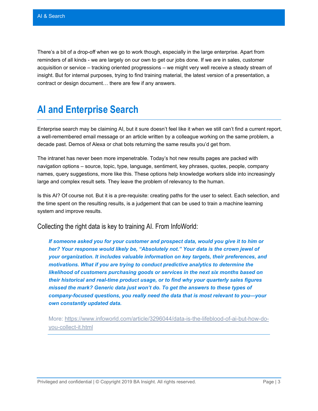There's a bit of a drop-off when we go to work though, especially in the large enterprise. Apart from reminders of all kinds - we are largely on our own to get our jobs done. If we are in sales, customer acquisition or service – tracking oriented progressions – we might very well receive a steady stream of insight. But for internal purposes, trying to find training material, the latest version of a presentation, a contract or design document… there are few if any answers.

#### **AI and Enterprise Search**

Enterprise search may be claiming AI, but it sure doesn't feel like it when we still can't find a current report, a well-remembered email message or an article written by a colleague working on the same problem, a decade past. Demos of Alexa or chat bots returning the same results you'd get from.

The intranet has never been more impenetrable. Today's hot new results pages are packed with navigation options – source, topic, type, language, sentiment, key phrases, quotes, people, company names, query suggestions, more like this. These options help knowledge workers slide into increasingly large and complex result sets. They leave the problem of relevancy to the human.

Is this AI? Of course not. But it is a pre-requisite: creating paths for the user to select. Each selection, and the time spent on the resulting results, is a judgement that can be used to train a machine learning system and improve results.

Collecting the right data is key to training AI. From InfoWorld:

*If someone asked you for your customer and prospect data, would you give it to him or her? Your response would likely be, "Absolutely not." Your data is the crown jewel of your organization. It includes valuable information on key targets, their preferences, and motivations. What if you are trying to conduct predictive analytics to determine the likelihood of customers purchasing goods or services in the next six months based on their historical and real-time product usage, or to find why your quarterly sales figures missed the mark? Generic data just won't do. To get the answers to these types of company-focused questions, you really need the data that is most relevant to you—your own constantly updated data.*

More: [https://www.infoworld.com/article/3296044/data-is-the-lifeblood-of-ai-but-how-do](https://www.infoworld.com/article/3296044/data-is-the-lifeblood-of-ai-but-how-do-you-collect-it.html)[you-collect-it.html](https://www.infoworld.com/article/3296044/data-is-the-lifeblood-of-ai-but-how-do-you-collect-it.html)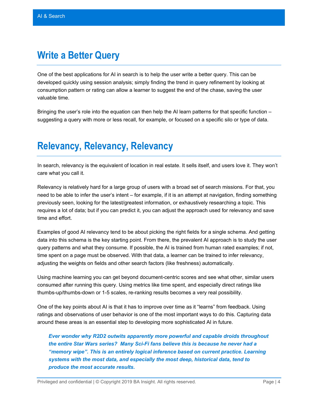### **Write a Better Query**

One of the best applications for AI in search is to help the user write a better query. This can be developed quickly using session analysis; simply finding the trend in query refinement by looking at consumption pattern or rating can allow a learner to suggest the end of the chase, saving the user valuable time.

Bringing the user's role into the equation can then help the AI learn patterns for that specific function – suggesting a query with more or less recall, for example, or focused on a specific silo or type of data.

#### **Relevancy, Relevancy, Relevancy**

In search, relevancy is the equivalent of location in real estate. It sells itself, and users love it. They won't care what you call it.

Relevancy is relatively hard for a large group of users with a broad set of search missions. For that, you need to be able to infer the user's intent – for example, if it is an attempt at navigation, finding something previously seen, looking for the latest/greatest information, or exhaustively researching a topic. This requires a lot of data; but if you can predict it, you can adjust the approach used for relevancy and save time and effort.

Examples of good AI relevancy tend to be about picking the right fields for a single schema. And getting data into this schema is the key starting point. From there, the prevalent AI approach is to study the user query patterns and what they consume. If possible, the AI is trained from human rated examples; if not, time spent on a page must be observed. With that data, a learner can be trained to infer relevancy, adjusting the weights on fields and other search factors (like freshness) automatically.

Using machine learning you can get beyond document-centric scores and see what other, similar users consumed after running this query. Using metrics like time spent, and especially direct ratings like thumbs-up/thumbs-down or 1-5 scales, re-ranking results becomes a very real possibility.

One of the key points about AI is that it has to improve over time as it "learns" from feedback. Using ratings and observations of user behavior is one of the most important ways to do this. Capturing data around these areas is an essential step to developing more sophisticated AI in future.

*Ever wonder why R2D2 outwits apparently more powerful and capable droids throughout the entire Star Wars series? Many Sci-Fi fans believe this is because he never had a "memory wipe". This is an entirely logical inference based on current practice. Learning systems with the most data, and especially the most deep, historical data, tend to produce the most accurate results.*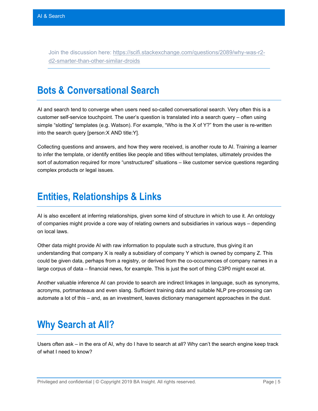Join the discussion here: [https://scifi.stackexchange.com/questions/2089/why-was-r2](https://scifi.stackexchange.com/questions/2089/why-was-r2-d2-smarter-than-other-similar-droids) [d2-smarter-than-other-similar-droids](https://scifi.stackexchange.com/questions/2089/why-was-r2-d2-smarter-than-other-similar-droids)

#### **Bots & Conversational Search**

AI and search tend to converge when users need so-called conversational search. Very often this is a customer self-service touchpoint. The user's question is translated into a search query – often using simple "slotting" templates (e.g. Watson). For example, "Who is the X of Y?" from the user is re-written into the search query [person:X AND title:Y].

Collecting questions and answers, and how they were received, is another route to AI. Training a learner to infer the template, or identify entities like people and titles without templates, ultimately provides the sort of automation required for more "unstructured" situations – like customer service questions regarding complex products or legal issues.

### **Entities, Relationships & Links**

AI is also excellent at inferring relationships, given some kind of structure in which to use it. An ontology of companies might provide a core way of relating owners and subsidiaries in various ways – depending on local laws.

Other data might provide AI with raw information to populate such a structure, thus giving it an understanding that company X is really a subsidiary of company Y which is owned by company Z. This could be given data, perhaps from a registry, or derived from the co-occurrences of company names in a large corpus of data – financial news, for example. This is just the sort of thing C3P0 might excel at.

Another valuable inference AI can provide to search are indirect linkages in language, such as synonyms, acronyms, portmanteaus and even slang. Sufficient training data and suitable NLP pre-processing can automate a lot of this – and, as an investment, leaves dictionary management approaches in the dust.

# **Why Search at All?**

Users often ask – in the era of AI, why do I have to search at all? Why can't the search engine keep track of what I need to know?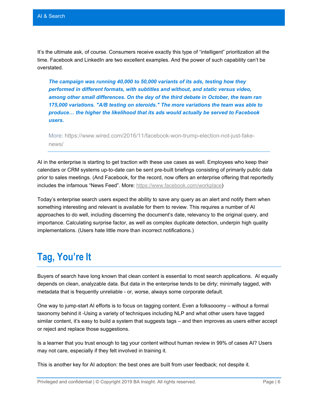It's the ultimate ask, of course. Consumers receive exactly this type of "intelligent" prioritization all the time. Facebook and LinkedIn are two excellent examples. And the power of such capability can't be overstated.

*The campaign was running 40,000 to 50,000 variants of its ads, testing how they performed in different formats, with subtitles and without, and static versus video, among other small differences. On the day of the third debate in October, the team ran 175,000 variations. "A/B testing on steroids." The more variations the team was able to produce… the higher the likelihood that its ads would actually be served to Facebook users.*

More: [https://www.wired.com/2016/11/facebook-won-trump-election-not-just-fake](https://www.wired.com/2016/11/facebook-won-trump-election-not-just-fake-news/)[news/](https://www.wired.com/2016/11/facebook-won-trump-election-not-just-fake-news/)

AI in the enterprise is starting to get traction with these use cases as well. Employees who keep their calendars or CRM systems up-to-date can be sent pre-built briefings consisting of primarily public data prior to sales meetings. (And Facebook, for the record, now offers an enterprise offering that reportedly includes the infamous "News Feed". More: [https://www.facebook.com/workplace\)](https://www.facebook.com/workplace)

Today's enterprise search users expect the ability to save any query as an alert and notify them when something interesting and relevant is available for them to review. This requires a number of AI approaches to do well, including discerning the document's date, relevancy to the original query, and importance. Calculating surprise factor, as well as complex duplicate detection, underpin high quality implementations. (Users hate little more than incorrect notifications.)

# **Tag, You're It**

Buyers of search have long known that clean content is essential to most search applications. AI equally depends on clean, analyzable data. But data in the enterprise tends to be dirty; minimally tagged, with metadata that is frequently unreliable - or, worse, always some corporate default.

One way to jump-start AI efforts is to focus on tagging content. Even a folksooomy – without a formal taxonomy behind it -Using a variety of techniques including NLP and what other users have tagged similar content, it's easy to build a system that suggests tags – and then improves as users either accept or reject and replace those suggestions.

Is a learner that you trust enough to tag your content without human review in 99% of cases AI? Users may not care, especially if they felt involved in training it.

This is another key for AI adoption: the best ones are built from user feedback; not despite it.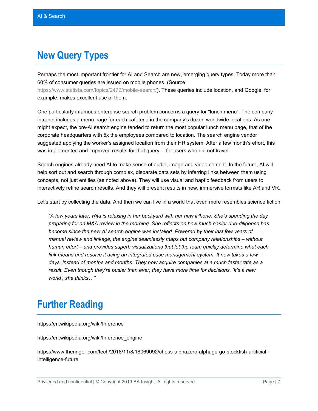## **New Query Types**

Perhaps the most important frontier for AI and Search are new, emerging query types. Today more than 60% of consumer queries are issued on mobile phones. (Source: [https://www.statista.com/topics/2479/mobile-search/\)](https://www.statista.com/topics/2479/mobile-search/). These queries include location, and Google, for example, makes excellent use of them.

One particularly infamous enterprise search problem concerns a query for "lunch menu". The company intranet includes a menu page for each cafeteria in the company's dozen worldwide locations. As one might expect, the pre-AI search engine tended to return the most popular lunch menu page, that of the corporate headquarters with 5x the employees compared to location. The search engine vendor suggested applying the worker's assigned location from their HR system. After a few month's effort, this was implemented and improved results for that query… for users who did not travel.

Search engines already need AI to make sense of audio, image and video content. In the future, AI will help sort out and search through complex, disparate data sets by inferring links between them using concepts, not just entities (as noted above). They will use visual and haptic feedback from users to interactively refine search results. And they will present results in new, immersive formats like AR and VR.

Let's start by collecting the data. And then we can live in a world that even more resembles science fiction!

*"A few years later, Rita is relaxing in her backyard with her new iPhone. She's spending the day preparing for an M&A review in the morning. She reflects on how much easier due-diligence has become since the new AI search engine was installed. Powered by their last few years of manual review and linkage, the engine seamlessly maps out company relationships – without human effort – and provides superb visualizations that let the team quickly determine what each link means and resolve it using an integrated case management system. It now takes a few days, instead of months and months. They now acquire companies at a much faster rate as a result. Even though they're busier than ever, they have more time for decisions. 'It's a new world', she thinks…"* 

#### **Further Reading**

https://en.wikipedia.org/wiki/Inference

https://en.wikipedia.org/wiki/Inference\_engine

https://www.theringer.com/tech/2018/11/8/18069092/chess-alphazero-alphago-go-stockfish-artificialintelligence-future